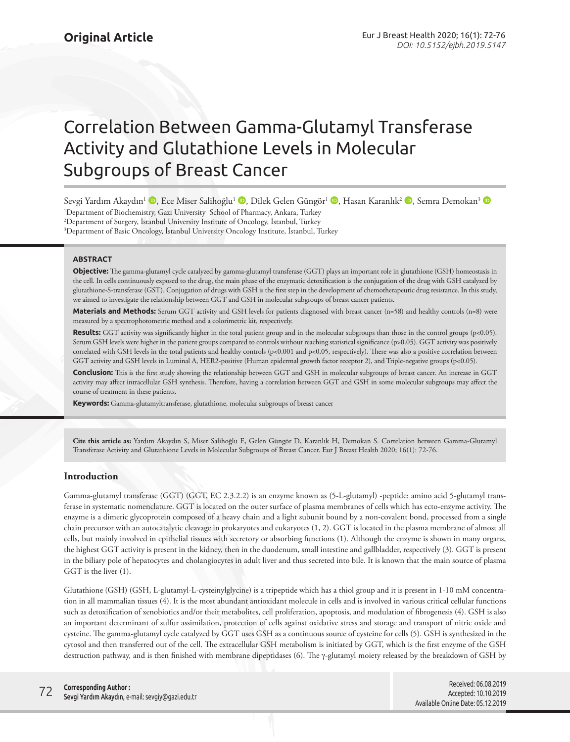# Correlation Between Gamma-Glutamyl Transferase Activity and Glutathione Levels in Molecular Subgroups of Breast Cancer

Sevgi Yardım Akaydın<sup>ı</sup> D[,](http://orcid.org/0000-0001-6156-7260) Ece Miser Salihoğlu<sup>1</sup> D, Dilek Gelen Güngör<sup>1</sup> D, Hasan Karanlık<sup>2</sup> D, Semra Demokan<sup>3</sup> D Department of Biochemistry, Gazi University School of Pharmacy, Ankara, Turkey Department of Surgery, İstanbul University Institute of Oncology, İstanbul, Turkey Department of Basic Oncology, İstanbul University Oncology Institute, İstanbul, Turkey

## **ABSTRACT**

**Objective:** The gamma-glutamyl cycle catalyzed by gamma-glutamyl transferase (GGT) plays an important role in glutathione (GSH) homeostasis in the cell. In cells continuously exposed to the drug, the main phase of the enzymatic detoxification is the conjugation of the drug with GSH catalyzed by glutathione-S-transferase (GST). Conjugation of drugs with GSH is the first step in the development of chemotherapeutic drug resistance. In this study, we aimed to investigate the relationship between GGT and GSH in molecular subgroups of breast cancer patients.

Materials and Methods: Serum GGT activity and GSH levels for patients diagnosed with breast cancer (n=58) and healthy controls (n=8) were measured by a spectrophotometric method and a colorimetric kit, respectively.

**Results:** GGT activity was significantly higher in the total patient group and in the molecular subgroups than those in the control groups (p<0.05). Serum GSH levels were higher in the patient groups compared to controls without reaching statistical significance (p>0.05). GGT activity was positively correlated with GSH levels in the total patients and healthy controls (p<0.001 and p<0.05, respectively). There was also a positive correlation between GGT activity and GSH levels in Luminal A, HER2-positive (Human epidermal growth factor receptor 2), and Triple-negative groups (p<0.05).

**Conclusion:** This is the first study showing the relationship between GGT and GSH in molecular subgroups of breast cancer. An increase in GGT activity may affect intracellular GSH synthesis. Therefore, having a correlation between GGT and GSH in some molecular subgroups may affect the course of treatment in these patients.

**Keywords:** Gamma-glutamyltransferase, glutathione, molecular subgroups of breast cancer

**Cite this article as:** Yardım Akaydın S, Miser Salihoğlu E, Gelen Güngör D, Karanlık H, Demokan S. Correlation between Gamma-Glutamyl Transferase Activity and Glutathione Levels in Molecular Subgroups of Breast Cancer. Eur J Breast Health 2020; 16(1): 72-76.

# **Introduction**

Gamma-glutamyl transferase (GGT) (GGT, EC 2.3.2.2) is an enzyme known as (5-L-glutamyl) -peptide: amino acid 5-glutamyl transferase in systematic nomenclature. GGT is located on the outer surface of plasma membranes of cells which has ecto-enzyme activity. The enzyme is a dimeric glycoprotein composed of a heavy chain and a light subunit bound by a non-covalent bond, processed from a single chain precursor with an autocatalytic cleavage in prokaryotes and eukaryotes (1, 2). GGT is located in the plasma membrane of almost all cells, but mainly involved in epithelial tissues with secretory or absorbing functions (1). Although the enzyme is shown in many organs, the highest GGT activity is present in the kidney, then in the duodenum, small intestine and gallbladder, respectively (3). GGT is present in the biliary pole of hepatocytes and cholangiocytes in adult liver and thus secreted into bile. It is known that the main source of plasma GGT is the liver (1).

Glutathione (GSH) (GSH, L-glutamyl-L-cysteinylglycine) is a tripeptide which has a thiol group and it is present in 1-10 mM concentration in all mammalian tissues (4). It is the most abundant antioxidant molecule in cells and is involved in various critical cellular functions such as detoxification of xenobiotics and/or their metabolites, cell proliferation, apoptosis, and modulation of fibrogenesis (4). GSH is also an important determinant of sulfur assimilation, protection of cells against oxidative stress and storage and transport of nitric oxide and cysteine. The gamma-glutamyl cycle catalyzed by GGT uses GSH as a continuous source of cysteine for cells (5). GSH is synthesized in the cytosol and then transferred out of the cell. The extracellular GSH metabolism is initiated by GGT, which is the first enzyme of the GSH destruction pathway, and is then finished with membrane dipeptidases (6). The γ-glutamyl moiety released by the breakdown of GSH by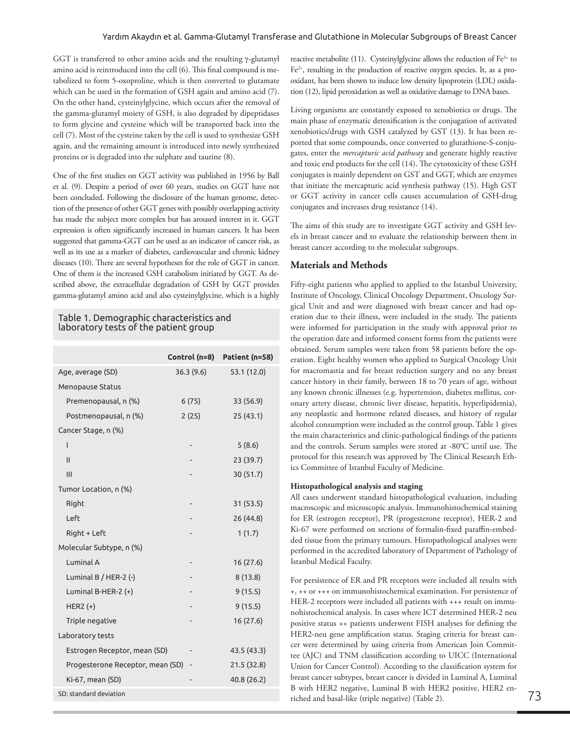GGT is transferred to other amino acids and the resulting γ-glutamyl amino acid is reintroduced into the cell (6). This final compound is metabolized to form 5-oxoproline, which is then converted to glutamate which can be used in the formation of GSH again and amino acid (7). On the other hand, cysteinylglycine, which occurs after the removal of the gamma-glutamyl moiety of GSH, is also degraded by dipeptidases to form glycine and cysteine which will be transported back into the cell (7). Most of the cysteine taken by the cell is used to synthesize GSH again, and the remaining amount is introduced into newly synthesized proteins or is degraded into the sulphate and taurine (8).

One of the first studies on GGT activity was published in 1956 by Ball et al. (9). Despite a period of over 60 years, studies on GGT have not been concluded. Following the disclosure of the human genome, detection of the presence of other GGT genes with possibly overlapping activity has made the subject more complex but has aroused interest in it. GGT expression is often significantly increased in human cancers. It has been suggested that gamma-GGT can be used as an indicator of cancer risk, as well as its use as a marker of diabetes, cardiovascular and chronic kidney diseases (10). There are several hypotheses for the role of GGT in cancer. One of them is the increased GSH catabolism initiated by GGT. As described above, the extracellular degradation of GSH by GGT provides gamma-glutamyl amino acid and also cysteinylglycine, which is a highly

## Table 1. Demographic characteristics and laboratory tests of the patient group

|                                  | Control (n=8) | Patient (n=58) |
|----------------------------------|---------------|----------------|
| Age, average (SD)                | 36.3(9.6)     | 53.1 (12.0)    |
| Menopause Status                 |               |                |
| Premenopausal, n (%)             | 6(75)         | 33 (56.9)      |
| Postmenopausal, n (%)            | 2(25)         | 25(43.1)       |
| Cancer Stage, n (%)              |               |                |
| $\mathsf{I}$                     |               | 5(8.6)         |
| $\mathbf{H}$                     |               | 23 (39.7)      |
| III                              |               | 30 (51.7)      |
| Tumor Location, n (%)            |               |                |
| Right                            |               | 31 (53.5)      |
| Left                             |               | 26 (44.8)      |
| Right + Left                     |               | 1(1.7)         |
| Molecular Subtype, n (%)         |               |                |
| Luminal A                        |               | 16(27.6)       |
| Luminal $B / HER-2$ (-)          |               | 8(13.8)        |
| Luminal B-HER-2 (+)              |               | 9(15.5)        |
| HER2 $(+)$                       |               | 9(15.5)        |
| Triple negative                  |               | 16(27.6)       |
| Laboratory tests                 |               |                |
| Estrogen Receptor, mean (SD)     |               | 43.5 (43.3)    |
| Progesterone Receptor, mean (SD) |               | 21.5 (32.8)    |
| Ki-67, mean (SD)                 |               | 40.8 (26.2)    |
| SD: standard deviation           |               |                |

reactive metabolite (11). Cysteinylglycine allows the reduction of  $Fe<sup>3+</sup>$  to  $Fe<sup>2+</sup>$ , resulting in the production of reactive oxygen species. It, as a prooxidant, has been shown to induce low density lipoprotein (LDL) oxidation (12), lipid peroxidation as well as oxidative damage to DNA bases.

Living organisms are constantly exposed to xenobiotics or drugs. The main phase of enzymatic detoxification is the conjugation of activated xenobiotics/drugs with GSH catalyzed by GST (13). It has been reported that some compounds, once converted to glutathione-S-conjugates, enter the *mercapturic acid pathway* and generate highly reactive and toxic end products for the cell (14). The cytotoxicity of these GSH conjugates is mainly dependent on GST and GGT, which are enzymes that initiate the mercapturic acid synthesis pathway (15). High GST or GGT activity in cancer cells causes accumulation of GSH-drug conjugates and increases drug resistance (14).

The aims of this study are to investigate GGT activity and GSH levels in breast cancer and to evaluate the relationship between them in breast cancer according to the molecular subgroups.

# **Materials and Methods**

Fifty-eight patients who applied to applied to the Istanbul University, Institute of Oncology, Clinical Oncology Department, Oncology Surgical Unit and and were diagnosed with breast cancer and had operation due to their illness, were included in the study. The patients were informed for participation in the study with approval prior to the operation date and informed consent forms from the patients were obtained. Serum samples were taken from 58 patients before the operation. Eight healthy women who applied to Surgical Oncology Unit for macromastia and for breast reduction surgery and no any breast cancer history in their family, between 18 to 70 years of age, without any known chronic illnesses (e.g. hypertension, diabetes mellitus, coronary artery disease, chronic liver disease, hepatitis, hyperlipidemia), any neoplastic and hormone related diseases, and history of regular alcohol consumption were included as the control group. Table 1 gives the main characteristics and clinic-pathological findings of the patients and the controls. Serum samples were stored at -80°C until use. The protocol for this research was approved by The Clinical Research Ethics Committee of Istanbul Faculty of Medicine.

### **Histopathological analysis and staging**

All cases underwent standard histopathological evaluation, including macroscopic and microscopic analysis. Immunohistochemical staining for ER (estrogen receptor), PR (progesterone receptor), HER-2 and Ki-67 were performed on sections of formalin-fixed paraffin-embedded tissue from the primary tumours. Histopathological analyses were performed in the accredited laboratory of Department of Pathology of Istanbul Medical Faculty.

For persistence of ER and PR receptors were included all results with +, ++ or +++ on immunohistochemical examination. For persistence of HER-2 receptors were included all patients with +++ result on immunohistochemical analysis. In cases where ICT determined HER-2 neu positive status ++ patients underwent FISH analyses for defining the HER2-neu gene amplification status. Staging criteria for breast cancer were determined by using criteria from American Join Committee (AJC) and TNM classification according to UICC (International Union for Cancer Control). According to the classification system for breast cancer subtypes, breast cancer is divided in Luminal A, Luminal B with HER2 negative, Luminal B with HER2 positive, HER2 en-SD: standard deviation  $73$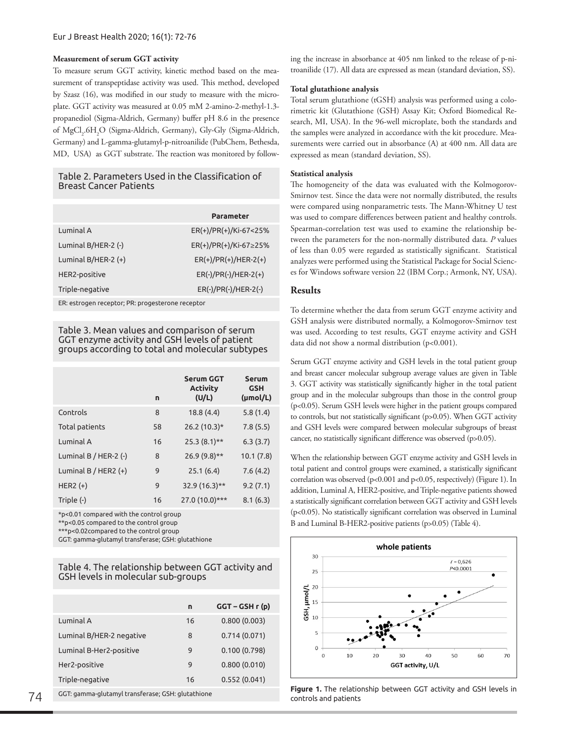#### **Measurement of serum GGT activity**

To measure serum GGT activity, kinetic method based on the measurement of transpeptidase activity was used. This method, developed by Szasz (16), was modified in our study to measure with the microplate. GGT activity was measured at 0.05 mM 2-amino-2-methyl-1.3 propanediol (Sigma-Aldrich, Germany) buffer pH 8.6 in the presence of MgCl<sub>2</sub>.6H<sub>2</sub>O (Sigma-Aldrich, Germany), Gly-Gly (Sigma-Aldrich, Germany) and L-gamma-glutamyl-p-nitroanilide (PubChem, Bethesda, MD, USA) as GGT substrate. The reaction was monitored by follow-

## Table 2. Parameters Used in the Classification of Breast Cancer Patients

|                       | Parameter                   |
|-----------------------|-----------------------------|
| Luminal A             | $ER(+)/PR(+)/Ki-67<25%$     |
| Luminal B/HER-2 (-)   | $ER(+)/PR(+)/Ki-67 \ge 25%$ |
| Luminal $B/HER-2 (+)$ | $ER(+)/PR(+)/HER-2(+)$      |
| HER2-positive         | $ER(-)/PR(-)/HER-2(+)$      |
| Triple-negative       | $ER(-)/PR(-)/HER-2(-)$      |
|                       |                             |

ER: estrogen receptor; PR: progesterone receptor

Table 3. Mean values and comparison of serum GGT enzyme activity and GSH levels of patient groups according to total and molecular subtypes

|                         | n  | Serum GGT<br><b>Activity</b><br>(U/L) | <b>Serum</b><br><b>GSH</b><br>(mol/L) |
|-------------------------|----|---------------------------------------|---------------------------------------|
| Controls                | 8  | 18.8(4.4)                             | 5.8(1.4)                              |
| Total patients          | 58 | $26.2(10.3)*$                         | 7.8(5.5)                              |
| Luminal A               | 16 | $25.3(8.1)**$                         | 6.3(3.7)                              |
| Luminal $B / HER-2$ (-) | 8  | $26.9(9.8)$ **                        | 10.1(7.8)                             |
| Luminal $B / HER2 (+)$  | 9  | 25.1(6.4)                             | 7.6(4.2)                              |
| HER2 $(+)$              | 9  | 32.9 (16.3)**                         | 9.2(7.1)                              |
| Triple (-)              | 16 | 27.0 (10.0)***                        | 8.1(6.3)                              |

\*p<0.01 compared with the control group

\*\*p<0.05 compared to the control group

\*\*\*p<0.02compared to the control group

GGT: gamma-glutamyl transferase; GSH: glutathione

Table 4. The relationship between GGT activity and GSH levels in molecular sub-groups

|                                                   | n  | $GGT - GSH r(p)$ |  |  |
|---------------------------------------------------|----|------------------|--|--|
| Luminal A                                         | 16 | 0.800(0.003)     |  |  |
| Luminal B/HER-2 negative                          | 8  | 0.714(0.071)     |  |  |
| Luminal B-Her2-positive                           | 9  | 0.100(0.798)     |  |  |
| Her2-positive                                     | 9  | 0.800(0.010)     |  |  |
| Triple-negative                                   | 16 | 0.552(0.041)     |  |  |
| CCT: gamma-glutamyl transferase: CSH: glutathione |    |                  |  |  |

GGT: gamma-glutamyl transferase; GSH: glutathione 74 controls and patients

## **Total glutathione analysis**

Total serum glutathione (tGSH) analysis was performed using a colorimetric kit (Glutathione (GSH) Assay Kit; Oxford Biomedical Research, MI, USA). In the 96-well microplate, both the standards and the samples were analyzed in accordance with the kit procedure. Measurements were carried out in absorbance (A) at 400 nm. All data are expressed as mean (standard deviation, SS).

#### **Statistical analysis**

The homogeneity of the data was evaluated with the Kolmogorov-Smirnov test. Since the data were not normally distributed, the results were compared using nonparametric tests. The Mann-Whitney U test was used to compare differences between patient and healthy controls. Spearman-correlation test was used to examine the relationship between the parameters for the non-normally distributed data. *P* values of less than 0.05 were regarded as statistically significant. Statistical analyzes were performed using the Statistical Package for Social Sciences for Windows software version 22 (IBM Corp.; Armonk, NY, USA).

#### **Results**

To determine whether the data from serum GGT enzyme activity and GSH analysis were distributed normally, a Kolmogorov-Smirnov test was used. According to test results, GGT enzyme activity and GSH data did not show a normal distribution (p<0.001).

Serum GGT enzyme activity and GSH levels in the total patient group and breast cancer molecular subgroup average values are given in Table 3. GGT activity was statistically significantly higher in the total patient group and in the molecular subgroups than those in the control group (p<0.05). Serum GSH levels were higher in the patient groups compared to controls, but not statistically significant (p>0.05). When GGT activity and GSH levels were compared between molecular subgroups of breast cancer, no statistically significant difference was observed (p>0.05).

When the relationship between GGT enzyme activity and GSH levels in total patient and control groups were examined, a statistically significant correlation was observed (p<0.001 and p<0.05, respectively) (Figure 1). In addition, Luminal A, HER2-positive, and Triple-negative patients showed a statistically significant correlation between GGT activity and GSH levels (p<0.05). No statistically significant correlation was observed in Luminal B and Luminal B-HER2-positive patients (p>0.05) (Table 4).



**Figure 1.** The relationship between GGT activity and GSH levels in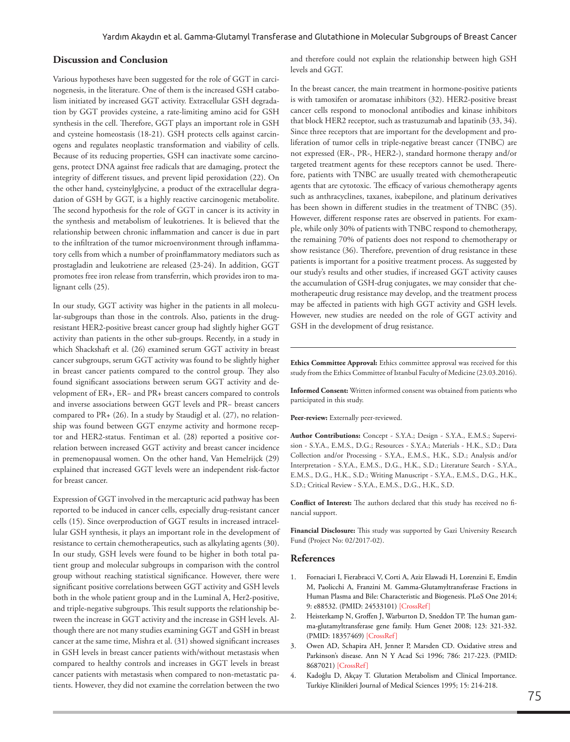### **Discussion and Conclusion**

Various hypotheses have been suggested for the role of GGT in carcinogenesis, in the literature. One of them is the increased GSH catabolism initiated by increased GGT activity. Extracellular GSH degradation by GGT provides cysteine, a rate-limiting amino acid for GSH synthesis in the cell. Therefore, GGT plays an important role in GSH and cysteine homeostasis (18-21). GSH protects cells against carcinogens and regulates neoplastic transformation and viability of cells. Because of its reducing properties, GSH can inactivate some carcinogens, protect DNA against free radicals that are damaging, protect the integrity of different tissues, and prevent lipid peroxidation (22). On the other hand, cysteinylglycine, a product of the extracellular degradation of GSH by GGT, is a highly reactive carcinogenic metabolite. The second hypothesis for the role of GGT in cancer is its activity in the synthesis and metabolism of leukotrienes. It is believed that the relationship between chronic inflammation and cancer is due in part to the infiltration of the tumor microenvironment through inflammatory cells from which a number of proinflammatory mediators such as prostagladin and leukotriene are released (23-24). In addition, GGT promotes free iron release from transferrin, which provides iron to malignant cells (25).

In our study, GGT activity was higher in the patients in all molecular-subgroups than those in the controls. Also, patients in the drugresistant HER2-positive breast cancer group had slightly higher GGT activity than patients in the other sub-groups. Recently, in a study in which Shackshaft et al. (26) examined serum GGT activity in breast cancer subgroups, serum GGT activity was found to be slightly higher in breast cancer patients compared to the control group. They also found significant associations between serum GGT activity and development of ER+, ER− and PR+ breast cancers compared to controls and inverse associations between GGT levels and PR− breast cancers compared to PR+ (26). In a study by Staudigl et al. (27), no relationship was found between GGT enzyme activity and hormone receptor and HER2-status. Fentiman et al. (28) reported a positive correlation between increased GGT activity and breast cancer incidence in premenopausal women. On the other hand, Van Hemelrijck (29) explained that increased GGT levels were an independent risk-factor for breast cancer.

Expression of GGT involved in the mercapturic acid pathway has been reported to be induced in cancer cells, especially drug-resistant cancer cells (15). Since overproduction of GGT results in increased intracellular GSH synthesis, it plays an important role in the development of resistance to certain chemotherapeutics, such as alkylating agents (30). In our study, GSH levels were found to be higher in both total patient group and molecular subgroups in comparison with the control group without reaching statistical significance. However, there were significant positive correlations between GGT activity and GSH levels both in the whole patient group and in the Luminal A, Her2-positive, and triple-negative subgroups. This result supports the relationship between the increase in GGT activity and the increase in GSH levels. Although there are not many studies examining GGT and GSH in breast cancer at the same time, Mishra et al. (31) showed significant increases in GSH levels in breast cancer patients with/without metastasis when compared to healthy controls and increases in GGT levels in breast cancer patients with metastasis when compared to non-metastatic patients. However, they did not examine the correlation between the two

and therefore could not explain the relationship between high GSH levels and GGT.

In the breast cancer, the main treatment in hormone-positive patients is with tamoxifen or aromatase inhibitors (32). HER2-positive breast cancer cells respond to monoclonal antibodies and kinase inhibitors that block HER2 receptor, such as trastuzumab and lapatinib (33, 34). Since three receptors that are important for the development and proliferation of tumor cells in triple-negative breast cancer (TNBC) are not expressed (ER-, PR-, HER2-), standard hormone therapy and/or targeted treatment agents for these receptors cannot be used. Therefore, patients with TNBC are usually treated with chemotherapeutic agents that are cytotoxic. The efficacy of various chemotherapy agents such as anthracyclines, taxanes, ixabepilone, and platinum derivatives has been shown in different studies in the treatment of TNBC (35). However, different response rates are observed in patients. For example, while only 30% of patients with TNBC respond to chemotherapy, the remaining 70% of patients does not respond to chemotherapy or show resistance (36). Therefore, prevention of drug resistance in these patients is important for a positive treatment process. As suggested by our study's results and other studies, if increased GGT activity causes the accumulation of GSH-drug conjugates, we may consider that chemotherapeutic drug resistance may develop, and the treatment process may be affected in patients with high GGT activity and GSH levels. However, new studies are needed on the role of GGT activity and GSH in the development of drug resistance.

**Ethics Committee Approval:** Ethics committee approval was received for this study from the Ethics Committee of Istanbul Faculty of Medicine (23.03.2016).

**Informed Consent:** Written informed consent was obtained from patients who participated in this study.

Peer-review: Externally peer-reviewed.

**Author Contributions:** Concept - S.Y.A.; Design - S.Y.A., E.M.S.; Supervision - S.Y.A., E.M.S., D.G.; Resources - S.Y.A.; Materials - H.K., S.D.; Data Collection and/or Processing - S.Y.A., E.M.S., H.K., S.D.; Analysis and/or Interpretation - S.Y.A., E.M.S., D.G., H.K., S.D.; Literature Search - S.Y.A., E.M.S., D.G., H.K., S.D.; Writing Manuscript - S.Y.A., E.M.S., D.G., H.K., S.D.; Critical Review - S.Y.A., E.M.S., D.G., H.K., S.D.

**Conflict of Interest:** The authors declared that this study has received no financial support.

**Financial Disclosure:** This study was supported by Gazi University Research Fund (Project No: 02/2017-02).

#### **References**

- 1. Fornaciari I, Fierabracci V, Corti A, Aziz Elawadi H, Lorenzini E, Emdin M, Paolicchi A, Franzini M. Gamma-Glutamyltransferase Fractions in Human Plasma and Bile: Characteristic and Biogenesis. PLoS One 2014; 9: e88532. (PMID: 24533101) [\[CrossRef\]](https://doi.org/10.1371/journal.pone.0088532)
- 2. Heisterkamp N, Groffen J, Warburton D, Sneddon TP. The human gamma-glutamyltransferase gene family. Hum Genet 2008; 123: 321-332. (PMID: 18357469) [\[CrossRef\]](https://doi.org/10.1007/s00439-008-0487-7)
- 3. Owen AD, Schapira AH, Jenner P, Marsden CD. Oxidative stress and Parkinson's disease. Ann N Y Acad Sci 1996; 786: 217-223. (PMID: 8687021) [[CrossRef\]](https://doi.org/10.1111/j.1749-6632.1996.tb39064.x)
- 4. Kadoğlu D, Akçay T. Glutation Metabolism and Clinical Importance. Turkiye Klinikleri Journal of Medical Sciences 1995; 15: 214-218.